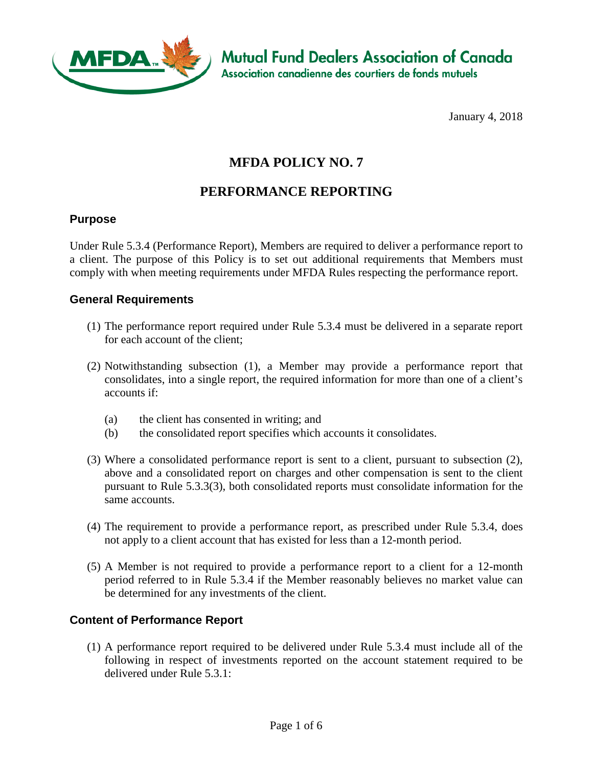

**Mutual Fund Dealers Association of Canada** Association canadienne des courtiers de fonds mutuels

January 4, 2018

# **MFDA POLICY NO. 7**

## **PERFORMANCE REPORTING**

#### **Purpose**

Under Rule 5.3.4 (Performance Report), Members are required to deliver a performance report to a client. The purpose of this Policy is to set out additional requirements that Members must comply with when meeting requirements under MFDA Rules respecting the performance report.

#### **General Requirements**

- (1) The performance report required under Rule 5.3.4 must be delivered in a separate report for each account of the client;
- (2) Notwithstanding subsection (1), a Member may provide a performance report that consolidates, into a single report, the required information for more than one of a client's accounts if:
	- (a) the client has consented in writing; and
	- (b) the consolidated report specifies which accounts it consolidates.
- (3) Where a consolidated performance report is sent to a client, pursuant to subsection (2), above and a consolidated report on charges and other compensation is sent to the client pursuant to Rule 5.3.3(3), both consolidated reports must consolidate information for the same accounts.
- (4) The requirement to provide a performance report, as prescribed under Rule 5.3.4, does not apply to a client account that has existed for less than a 12-month period.
- (5) A Member is not required to provide a performance report to a client for a 12-month period referred to in Rule 5.3.4 if the Member reasonably believes no market value can be determined for any investments of the client.

#### **Content of Performance Report**

(1) A performance report required to be delivered under Rule 5.3.4 must include all of the following in respect of investments reported on the account statement required to be delivered under Rule 5.3.1: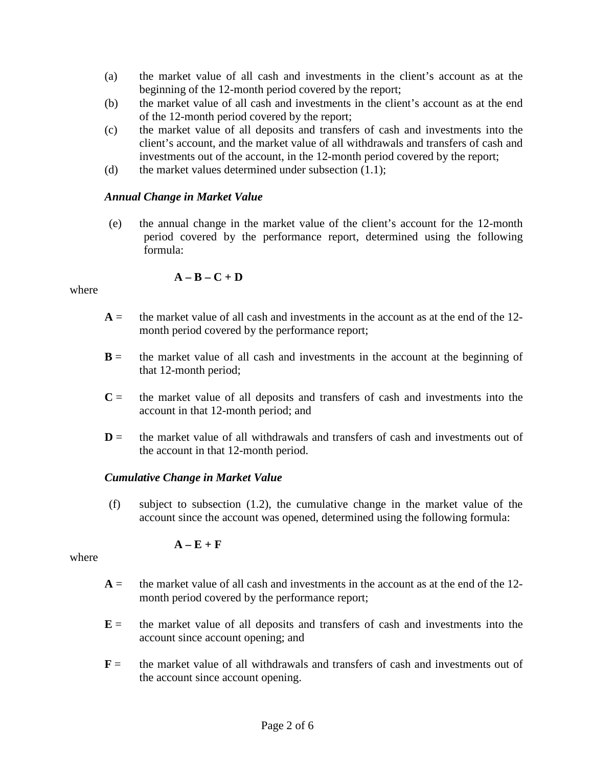- (a) the market value of all cash and investments in the client's account as at the beginning of the 12-month period covered by the report;
- (b) the market value of all cash and investments in the client's account as at the end of the 12-month period covered by the report;
- (c) the market value of all deposits and transfers of cash and investments into the client's account, and the market value of all withdrawals and transfers of cash and investments out of the account, in the 12-month period covered by the report;
- (d) the market values determined under subsection (1.1);

#### *Annual Change in Market Value*

(e) the annual change in the market value of the client's account for the 12-month period covered by the performance report, determined using the following formula:

$$
\mathbf{A}-\mathbf{B}-\mathbf{C}+\mathbf{D}
$$

#### where

- $A =$  the market value of all cash and investments in the account as at the end of the 12month period covered by the performance report;
- $B =$  the market value of all cash and investments in the account at the beginning of that 12-month period;
- $C =$  the market value of all deposits and transfers of cash and investments into the account in that 12-month period; and
- $D =$  the market value of all withdrawals and transfers of cash and investments out of the account in that 12-month period.

#### *Cumulative Change in Market Value*

(f) subject to subsection (1.2), the cumulative change in the market value of the account since the account was opened, determined using the following formula:

#### $A - E + F$

#### where

- $A =$  the market value of all cash and investments in the account as at the end of the 12month period covered by the performance report;
- $E =$  the market value of all deposits and transfers of cash and investments into the account since account opening; and
- **F** = the market value of all withdrawals and transfers of cash and investments out of the account since account opening.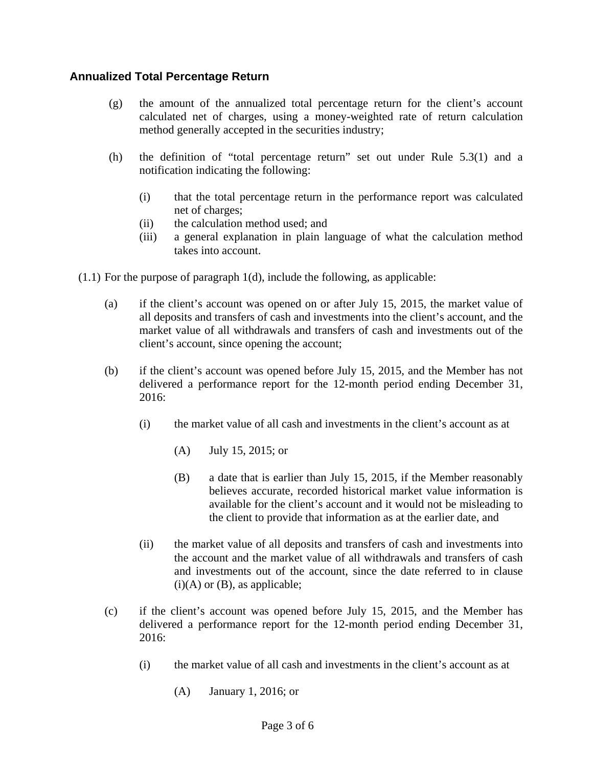## **Annualized Total Percentage Return**

- (g) the amount of the annualized total percentage return for the client's account calculated net of charges, using a money-weighted rate of return calculation method generally accepted in the securities industry;
- (h) the definition of "total percentage return" set out under Rule 5.3(1) and a notification indicating the following:
	- (i) that the total percentage return in the performance report was calculated net of charges;
	- (ii) the calculation method used; and
	- (iii) a general explanation in plain language of what the calculation method takes into account.
- (1.1) For the purpose of paragraph 1(d), include the following, as applicable:
	- (a) if the client's account was opened on or after July 15, 2015, the market value of all deposits and transfers of cash and investments into the client's account, and the market value of all withdrawals and transfers of cash and investments out of the client's account, since opening the account;
	- (b) if the client's account was opened before July 15, 2015, and the Member has not delivered a performance report for the 12-month period ending December 31, 2016:
		- (i) the market value of all cash and investments in the client's account as at
			- (A) July 15, 2015; or
			- (B) a date that is earlier than July 15, 2015, if the Member reasonably believes accurate, recorded historical market value information is available for the client's account and it would not be misleading to the client to provide that information as at the earlier date, and
		- (ii) the market value of all deposits and transfers of cash and investments into the account and the market value of all withdrawals and transfers of cash and investments out of the account, since the date referred to in clause  $(i)(A)$  or  $(B)$ , as applicable;
	- (c) if the client's account was opened before July 15, 2015, and the Member has delivered a performance report for the 12-month period ending December 31, 2016:
		- (i) the market value of all cash and investments in the client's account as at
			- (A) January 1, 2016; or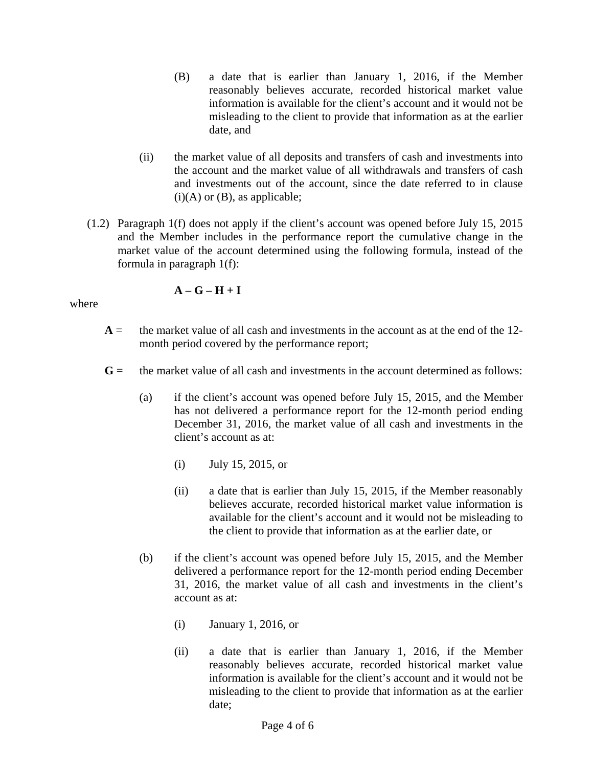- (B) a date that is earlier than January 1, 2016, if the Member reasonably believes accurate, recorded historical market value information is available for the client's account and it would not be misleading to the client to provide that information as at the earlier date, and
- (ii) the market value of all deposits and transfers of cash and investments into the account and the market value of all withdrawals and transfers of cash and investments out of the account, since the date referred to in clause  $(i)(A)$  or  $(B)$ , as applicable;
- (1.2) Paragraph 1(f) does not apply if the client's account was opened before July 15, 2015 and the Member includes in the performance report the cumulative change in the market value of the account determined using the following formula, instead of the formula in paragraph 1(f):

$$
\mathbf{A} - \mathbf{G} - \mathbf{H} + \mathbf{I}
$$

where

- $A =$  the market value of all cash and investments in the account as at the end of the 12month period covered by the performance report;
- $G =$  the market value of all cash and investments in the account determined as follows:
	- (a) if the client's account was opened before July 15, 2015, and the Member has not delivered a performance report for the 12-month period ending December 31, 2016, the market value of all cash and investments in the client's account as at:
		- (i) July 15, 2015, or
		- (ii) a date that is earlier than July 15, 2015, if the Member reasonably believes accurate, recorded historical market value information is available for the client's account and it would not be misleading to the client to provide that information as at the earlier date, or
	- (b) if the client's account was opened before July 15, 2015, and the Member delivered a performance report for the 12-month period ending December 31, 2016, the market value of all cash and investments in the client's account as at:
		- (i) January 1, 2016, or
		- (ii) a date that is earlier than January 1, 2016, if the Member reasonably believes accurate, recorded historical market value information is available for the client's account and it would not be misleading to the client to provide that information as at the earlier date;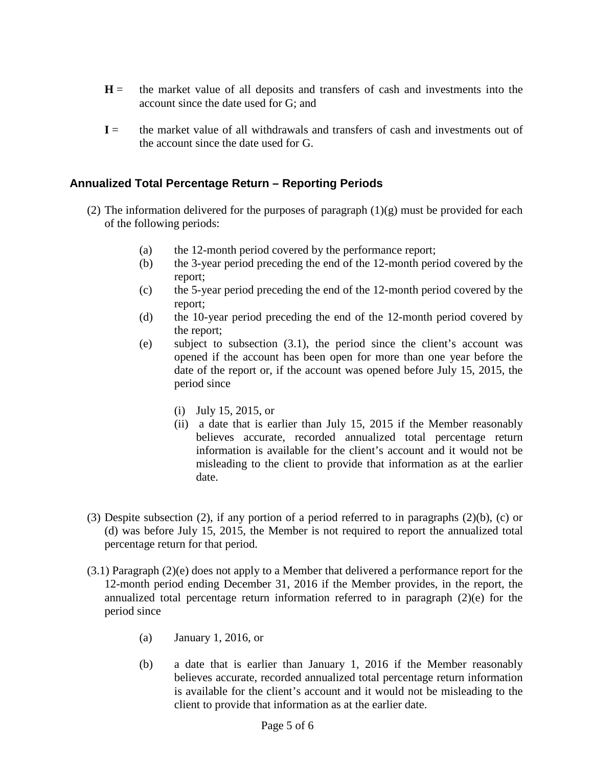- $H =$  the market value of all deposits and transfers of cash and investments into the account since the date used for G; and
- $I =$  the market value of all withdrawals and transfers of cash and investments out of the account since the date used for G.

## **Annualized Total Percentage Return – Reporting Periods**

- (2) The information delivered for the purposes of paragraph  $(1)(g)$  must be provided for each of the following periods:
	- (a) the 12-month period covered by the performance report;
	- (b) the 3-year period preceding the end of the 12-month period covered by the report;
	- (c) the 5-year period preceding the end of the 12-month period covered by the report;
	- (d) the 10-year period preceding the end of the 12-month period covered by the report;
	- (e) subject to subsection (3.1), the period since the client's account was opened if the account has been open for more than one year before the date of the report or, if the account was opened before July 15, 2015, the period since
		- (i) July 15, 2015, or
		- (ii) a date that is earlier than July 15, 2015 if the Member reasonably believes accurate, recorded annualized total percentage return information is available for the client's account and it would not be misleading to the client to provide that information as at the earlier date.
- (3) Despite subsection (2), if any portion of a period referred to in paragraphs (2)(b), (c) or (d) was before July 15, 2015, the Member is not required to report the annualized total percentage return for that period.
- (3.1) Paragraph (2)(e) does not apply to a Member that delivered a performance report for the 12-month period ending December 31, 2016 if the Member provides, in the report, the annualized total percentage return information referred to in paragraph (2)(e) for the period since
	- (a) January 1, 2016, or
	- (b) a date that is earlier than January 1, 2016 if the Member reasonably believes accurate, recorded annualized total percentage return information is available for the client's account and it would not be misleading to the client to provide that information as at the earlier date.